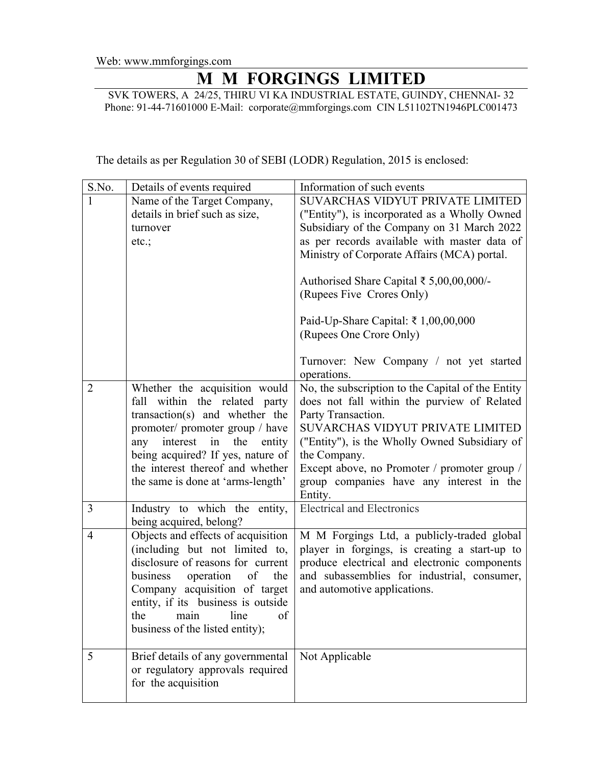## **M M FORGINGS LIMITED**

SVK TOWERS, A 24/25, THIRU VI KA INDUSTRIAL ESTATE, GUINDY, CHENNAI- 32 Phone: 91-44-71601000 E-Mail: corporate@mmforgings.com CIN L51102TN1946PLC001473

The details as per Regulation 30 of SEBI (LODR) Regulation, 2015 is enclosed:

| S.No.          | Details of events required                                                                                                                                                                                                                                                                        | Information of such events                                                                                                                                                                                                                                                                                                                                                                                            |
|----------------|---------------------------------------------------------------------------------------------------------------------------------------------------------------------------------------------------------------------------------------------------------------------------------------------------|-----------------------------------------------------------------------------------------------------------------------------------------------------------------------------------------------------------------------------------------------------------------------------------------------------------------------------------------------------------------------------------------------------------------------|
| 1              | Name of the Target Company,<br>details in brief such as size,<br>turnover<br>etc.;                                                                                                                                                                                                                | SUVARCHAS VIDYUT PRIVATE LIMITED<br>("Entity"), is incorporated as a Wholly Owned<br>Subsidiary of the Company on 31 March 2022<br>as per records available with master data of<br>Ministry of Corporate Affairs (MCA) portal.<br>Authorised Share Capital ₹ 5,00,00,000/-<br>(Rupees Five Crores Only)<br>Paid-Up-Share Capital: ₹ 1,00,00,000<br>(Rupees One Crore Only)<br>Turnover: New Company / not yet started |
| $\overline{2}$ | Whether the acquisition would<br>within the related party<br>fall<br>transaction(s) and whether the<br>promoter/ promoter group / have<br>interest<br>in<br>the<br>any<br>entity<br>being acquired? If yes, nature of<br>the interest thereof and whether<br>the same is done at 'arms-length'    | operations.<br>No, the subscription to the Capital of the Entity<br>does not fall within the purview of Related<br>Party Transaction.<br>SUVARCHAS VIDYUT PRIVATE LIMITED<br>("Entity"), is the Wholly Owned Subsidiary of<br>the Company.<br>Except above, no Promoter / promoter group /<br>group companies have any interest in the<br>Entity.                                                                     |
| 3              | Industry to which the entity,<br>being acquired, belong?                                                                                                                                                                                                                                          | <b>Electrical and Electronics</b>                                                                                                                                                                                                                                                                                                                                                                                     |
| $\overline{4}$ | Objects and effects of acquisition<br>(including but not limited to,<br>disclosure of reasons for current<br>business<br>operation<br>the<br>of<br>Company acquisition of target<br>entity, if its business is outside<br>line<br>the<br>main<br><sub>of</sub><br>business of the listed entity); | M M Forgings Ltd, a publicly-traded global<br>player in forgings, is creating a start-up to<br>produce electrical and electronic components<br>and subassemblies for industrial, consumer,<br>and automotive applications.                                                                                                                                                                                            |
| 5              | Brief details of any governmental<br>or regulatory approvals required<br>for the acquisition                                                                                                                                                                                                      | Not Applicable                                                                                                                                                                                                                                                                                                                                                                                                        |